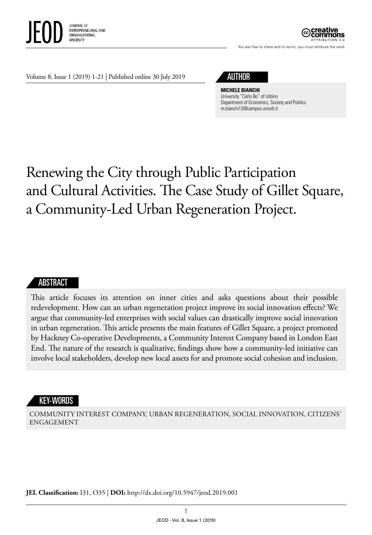

ATTRIBUTION 3.0

You are free to share and to remix, you must attribute the work

Volume 8, Issue 1 (2019) 1-21 | Published online 30 July 2019

# AUTHOR

**MICHELE BIANCHI**

University "Carlo Bo" of Urbino Department of Economics, Society and Politics m.bianchi13@campus.uniurb.it

# Renewing the City through Public Participation and Cultural Activities. The Case Study of Gillet Square, a Community-Led Urban Regeneration Project.

#### ABSTRACT

This article focuses its attention on inner cities and asks questions about their possible redevelopment. How can an urban regeneration project improve its social innovation effects? We argue that community-led enterprises with social values can drastically improve social innovation in urban regeneration. This article presents the main features of Gillet Square, a project promoted by Hackney Co-operative Developments, a Community Interest Company based in London East End. The nature of the research is qualitative, findings show how a community-led initiative can involve local stakeholders, develop new local assets for and promote social cohesion and inclusion.

#### **KEY-WORDS**

COMMUNITY INTEREST COMPANY, URBAN REGENERATION, SOCIAL INNOVATION, CITIZENS' ENGAGEMENT

**JEL Classification:** I31, O35 | **DOI:** http://dx.doi.org/10.5947/jeod.2019.001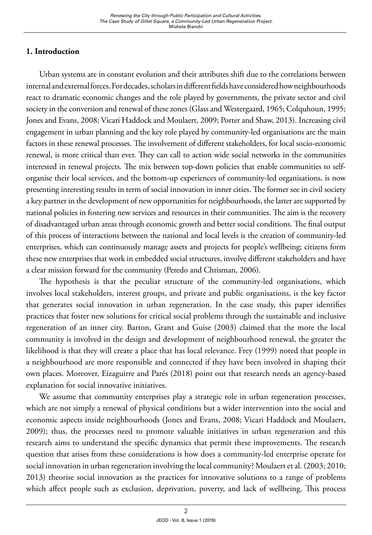# **1. Introduction**

Urban systems are in constant evolution and their attributes shift due to the correlations between internal and external forces. For decades, scholars in different fields have considered how neighbourhoods react to dramatic economic changes and the role played by governments, the private sector and civil society in the conversion and renewal of these zones (Glass and Westergaard, 1965; Colquhoun, 1995; Jones and Evans, 2008; Vicari Haddock and Moulaert, 2009; Porter and Shaw, 2013). Increasing civil engagement in urban planning and the key role played by community-led organisations are the main factors in these renewal processes. The involvement of different stakeholders, for local socio-economic renewal, is more critical than ever. They can call to action wide social networks in the communities interested in renewal projects. The mix between top-down policies that enable communities to selforganise their local services, and the bottom-up experiences of community-led organisations, is now presenting interesting results in term of social innovation in inner cities. The former see in civil society a key partner in the development of new opportunities for neighbourhoods, the latter are supported by national policies in fostering new services and resources in their communities. The aim is the recovery of disadvantaged urban areas through economic growth and better social conditions. The final output of this process of interactions between the national and local levels is the creation of community-led enterprises, which can continuously manage assets and projects for people's wellbeing; citizens form these new enterprises that work in embedded social structures, involve different stakeholders and have a clear mission forward for the community (Peredo and Chrisman, 2006).

The hypothesis is that the peculiar structure of the community-led organisations, which involves local stakeholders, interest groups, and private and public organisations, is the key factor that generates social innovation in urban regeneration. In the case study, this paper identifies practices that foster new solutions for critical social problems through the sustainable and inclusive regeneration of an inner city. Barton, Grant and Guise (2003) claimed that the more the local community is involved in the design and development of neighbourhood renewal, the greater the likelihood is that they will create a place that has local relevance. Frey (1999) noted that people in a neighbourhood are more responsible and connected if they have been involved in shaping their own places. Moreover, Eizaguirre and Parés (2018) point out that research needs an agency-based explanation for social innovative initiatives.

We assume that community enterprises play a strategic role in urban regeneration processes, which are not simply a renewal of physical conditions but a wider intervention into the social and economic aspects inside neighbourhoods (Jones and Evans, 2008; Vicari Haddock and Moulaert, 2009); thus, the processes need to promote valuable initiatives in urban regeneration and this research aims to understand the specific dynamics that permit these improvements. The research question that arises from these considerations is how does a community-led enterprise operate for social innovation in urban regeneration involving the local community? Moulaert et al. (2003; 2010; 2013) theorise social innovation as the practices for innovative solutions to a range of problems which affect people such as exclusion, deprivation, poverty, and lack of wellbeing. This process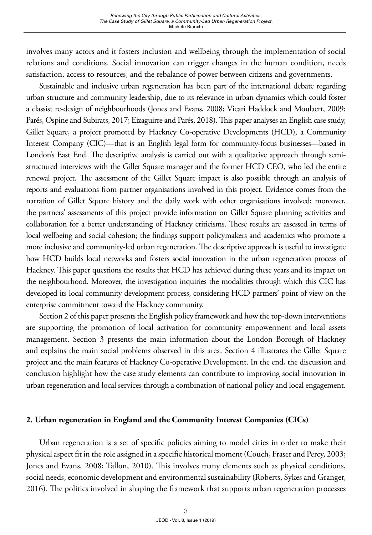involves many actors and it fosters inclusion and wellbeing through the implementation of social relations and conditions. Social innovation can trigger changes in the human condition, needs satisfaction, access to resources, and the rebalance of power between citizens and governments.

Sustainable and inclusive urban regeneration has been part of the international debate regarding urban structure and community leadership, due to its relevance in urban dynamics which could foster a classist re-design of neighbourhoods (Jones and Evans, 2008; Vicari Haddock and Moulaert, 2009; Parés, Ospine and Subirats, 2017; Eizaguirre and Parés, 2018). This paper analyses an English case study, Gillet Square, a project promoted by Hackney Co-operative Developments (HCD), a Community Interest Company (CIC)—that is an English legal form for community-focus businesses—based in London's East End. The descriptive analysis is carried out with a qualitative approach through semistructured interviews with the Gillet Square manager and the former HCD CEO, who led the entire renewal project. The assessment of the Gillet Square impact is also possible through an analysis of reports and evaluations from partner organisations involved in this project. Evidence comes from the narration of Gillet Square history and the daily work with other organisations involved; moreover, the partners' assessments of this project provide information on Gillet Square planning activities and collaboration for a better understanding of Hackney criticisms. These results are assessed in terms of local wellbeing and social cohesion; the findings support policymakers and academics who promote a more inclusive and community-led urban regeneration. The descriptive approach is useful to investigate how HCD builds local networks and fosters social innovation in the urban regeneration process of Hackney. This paper questions the results that HCD has achieved during these years and its impact on the neighbourhood. Moreover, the investigation inquiries the modalities through which this CIC has developed its local community development process, considering HCD partners' point of view on the enterprise commitment toward the Hackney community.

Section 2 of this paper presents the English policy framework and how the top-down interventions are supporting the promotion of local activation for community empowerment and local assets management. Section 3 presents the main information about the London Borough of Hackney and explains the main social problems observed in this area. Section 4 illustrates the Gillet Square project and the main features of Hackney Co-operative Development. In the end, the discussion and conclusion highlight how the case study elements can contribute to improving social innovation in urban regeneration and local services through a combination of national policy and local engagement.

# **2. Urban regeneration in England and the Community Interest Companies (CICs)**

Urban regeneration is a set of specific policies aiming to model cities in order to make their physical aspect fit in the role assigned in a specific historical moment (Couch, Fraser and Percy, 2003; Jones and Evans, 2008; Tallon, 2010). This involves many elements such as physical conditions, social needs, economic development and environmental sustainability (Roberts, Sykes and Granger, 2016). The politics involved in shaping the framework that supports urban regeneration processes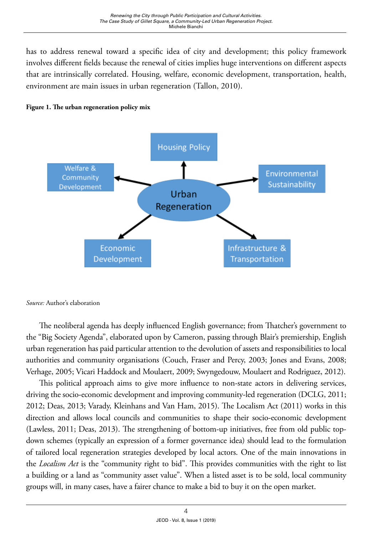has to address renewal toward a specific idea of city and development; this policy framework involves different fields because the renewal of cities implies huge interventions on different aspects that are intrinsically correlated. Housing, welfare, economic development, transportation, health, environment are main issues in urban regeneration (Tallon, 2010).





*Source:* Author's elaboration

The neoliberal agenda has deeply influenced English governance; from Thatcher's government to the "Big Society Agenda", elaborated upon by Cameron, passing through Blair's premiership, English urban regeneration has paid particular attention to the devolution of assets and responsibilities to local authorities and community organisations (Couch, Fraser and Percy, 2003; Jones and Evans, 2008; Verhage, 2005; Vicari Haddock and Moulaert, 2009; Swyngedouw, Moulaert and Rodriguez, 2012).

This political approach aims to give more influence to non-state actors in delivering services, driving the socio-economic development and improving community-led regeneration (DCLG, 2011; 2012; Deas, 2013; Varady, Kleinhans and Van Ham, 2015). The Localism Act (2011) works in this direction and allows local councils and communities to shape their socio-economic development (Lawless, 2011; Deas, 2013). The strengthening of bottom-up initiatives, free from old public topdown schemes (typically an expression of a former governance idea) should lead to the formulation of tailored local regeneration strategies developed by local actors. One of the main innovations in the *Localism Act* is the "community right to bid". This provides communities with the right to list a building or a land as "community asset value". When a listed asset is to be sold, local community groups will, in many cases, have a fairer chance to make a bid to buy it on the open market.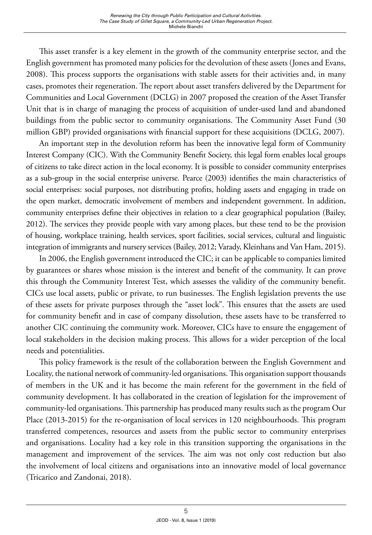This asset transfer is a key element in the growth of the community enterprise sector, and the English government has promoted many policies for the devolution of these assets (Jones and Evans, 2008). This process supports the organisations with stable assets for their activities and, in many cases, promotes their regeneration. The report about asset transfers delivered by the Department for Communities and Local Government (DCLG) in 2007 proposed the creation of the Asset Transfer Unit that is in charge of managing the process of acquisition of under-used land and abandoned buildings from the public sector to community organisations. The Community Asset Fund (30 million GBP) provided organisations with financial support for these acquisitions (DCLG, 2007).

An important step in the devolution reform has been the innovative legal form of Community Interest Company (CIC). With the Community Benefit Society, this legal form enables local groups of citizens to take direct action in the local economy. It is possible to consider community enterprises as a sub-group in the social enterprise universe. Pearce (2003) identifies the main characteristics of social enterprises: social purposes, not distributing profits, holding assets and engaging in trade on the open market, democratic involvement of members and independent government. In addition, community enterprises define their objectives in relation to a clear geographical population (Bailey, 2012). The services they provide people with vary among places, but these tend to be the provision of housing, workplace training, health services, sport facilities, social services, cultural and linguistic integration of immigrants and nursery services (Bailey, 2012; Varady, Kleinhans and Van Ham, 2015).

In 2006, the English government introduced the CIC; it can be applicable to companies limited by guarantees or shares whose mission is the interest and benefit of the community. It can prove this through the Community Interest Test, which assesses the validity of the community benefit. CICs use local assets, public or private, to run businesses. The English legislation prevents the use of these assets for private purposes through the "asset lock". This ensures that the assets are used for community benefit and in case of company dissolution, these assets have to be transferred to another CIC continuing the community work. Moreover, CICs have to ensure the engagement of local stakeholders in the decision making process. This allows for a wider perception of the local needs and potentialities.

This policy framework is the result of the collaboration between the English Government and Locality, the national network of community-led organisations. This organisation support thousands of members in the UK and it has become the main referent for the government in the field of community development. It has collaborated in the creation of legislation for the improvement of community-led organisations. This partnership has produced many results such as the program Our Place (2013-2015) for the re-organisation of local services in 120 neighbourhoods. This program transferred competences, resources and assets from the public sector to community enterprises and organisations. Locality had a key role in this transition supporting the organisations in the management and improvement of the services. The aim was not only cost reduction but also the involvement of local citizens and organisations into an innovative model of local governance (Tricarico and Zandonai, 2018).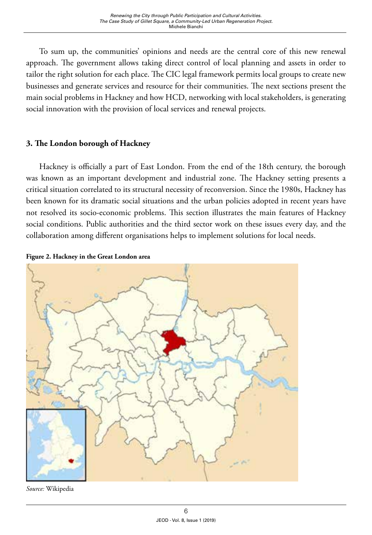To sum up, the communities' opinions and needs are the central core of this new renewal approach. The government allows taking direct control of local planning and assets in order to tailor the right solution for each place. The CIC legal framework permits local groups to create new businesses and generate services and resource for their communities. The next sections present the main social problems in Hackney and how HCD, networking with local stakeholders, is generating social innovation with the provision of local services and renewal projects.

# **3. The London borough of Hackney**

Hackney is officially a part of East London. From the end of the 18th century, the borough was known as an important development and industrial zone. The Hackney setting presents a critical situation correlated to its structural necessity of reconversion. Since the 1980s, Hackney has been known for its dramatic social situations and the urban policies adopted in recent years have not resolved its socio-economic problems. This section illustrates the main features of Hackney social conditions. Public authorities and the third sector work on these issues every day, and the collaboration among different organisations helps to implement solutions for local needs.





*Source:* Wikipedia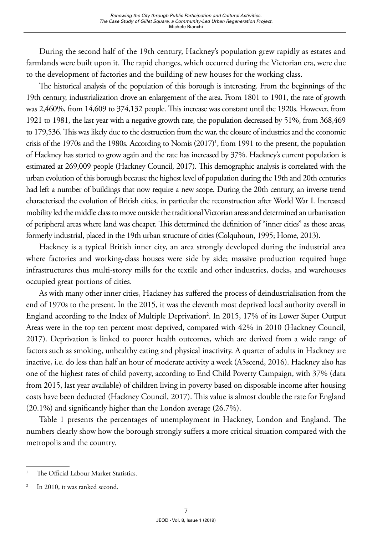During the second half of the 19th century, Hackney's population grew rapidly as estates and farmlands were built upon it. The rapid changes, which occurred during the Victorian era, were due to the development of factories and the building of new houses for the working class.

The historical analysis of the population of this borough is interesting. From the beginnings of the 19th century, industrialization drove an enlargement of the area. From 1801 to 1901, the rate of growth was 2,460%, from 14,609 to 374,132 people. This increase was constant until the 1920s. However, from 1921 to 1981, the last year with a negative growth rate, the population decreased by 51%, from 368,469 to 179,536. This was likely due to the destruction from the war, the closure of industries and the economic crisis of the 1970s and the 1980s. According to Nomis (2017)<sup>1</sup>, from 1991 to the present, the population of Hackney has started to grow again and the rate has increased by 37%. Hackney's current population is estimated at 269,009 people (Hackney Council, 2017). This demographic analysis is correlated with the urban evolution of this borough because the highest level of population during the 19th and 20th centuries had left a number of buildings that now require a new scope. During the 20th century, an inverse trend characterised the evolution of British cities, in particular the reconstruction after World War I. Increased mobility led the middle class to move outside the traditional Victorian areas and determined an urbanisation of peripheral areas where land was cheaper. This determined the definition of "inner cities" as those areas, formerly industrial, placed in the 19th urban structure of cities (Colquhoun, 1995; Home, 2013).

Hackney is a typical British inner city, an area strongly developed during the industrial area where factories and working-class houses were side by side; massive production required huge infrastructures thus multi-storey mills for the textile and other industries, docks, and warehouses occupied great portions of cities.

As with many other inner cities, Hackney has suffered the process of deindustrialisation from the end of 1970s to the present. In the 2015, it was the eleventh most deprived local authority overall in England according to the Index of Multiple Deprivation<sup>2</sup>. In 2015, 17% of its Lower Super Output Areas were in the top ten percent most deprived, compared with 42% in 2010 (Hackney Council, 2017). Deprivation is linked to poorer health outcomes, which are derived from a wide range of factors such as smoking, unhealthy eating and physical inactivity. A quarter of adults in Hackney are inactive, i.e. do less than half an hour of moderate activity a week (A5scend, 2016). Hackney also has one of the highest rates of child poverty, according to End Child Poverty Campaign, with 37% (data from 2015, last year available) of children living in poverty based on disposable income after housing costs have been deducted (Hackney Council, 2017). This value is almost double the rate for England (20.1%) and significantly higher than the London average (26.7%).

Table 1 presents the percentages of unemployment in Hackney, London and England. The numbers clearly show how the borough strongly suffers a more critical situation compared with the metropolis and the country.

<sup>&</sup>lt;sup>1</sup> The Official Labour Market Statistics.

In 2010, it was ranked second.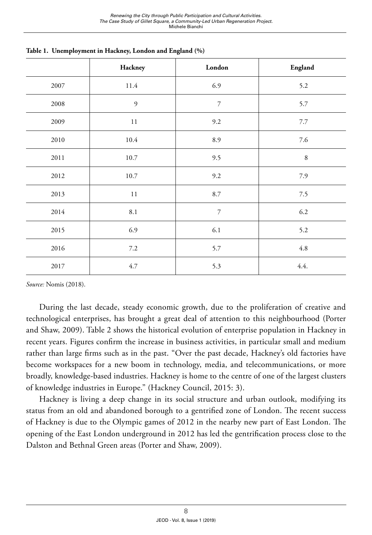|      | Hackney        | London         | England |
|------|----------------|----------------|---------|
| 2007 | 11.4           | 6.9            | 5.2     |
| 2008 | $\mathfrak{g}$ | $\overline{7}$ | 5.7     |
| 2009 | $11\,$         | 9.2            | 7.7     |
| 2010 | $10.4\,$       | 8.9            | 7.6     |
| 2011 | $10.7\,$       | 9.5            | $\,8\,$ |
| 2012 | 10.7           | 9.2            | 7.9     |
| 2013 | $11\,$         | 8.7            | $7.5$   |
| 2014 | $8.1\,$        | $\overline{7}$ | $6.2\,$ |
| 2015 | 6.9            | $6.1\,$        | 5.2     |
| 2016 | $7.2\,$        | 5.7            | $4.8\,$ |
| 2017 | 4.7            | 5.3            | 4.4.    |

**Table 1. Unemployment in Hackney, London and England (%)** 

*Source:* Nomis (2018).

During the last decade, steady economic growth, due to the proliferation of creative and technological enterprises, has brought a great deal of attention to this neighbourhood (Porter and Shaw, 2009). Table 2 shows the historical evolution of enterprise population in Hackney in recent years. Figures confirm the increase in business activities, in particular small and medium rather than large firms such as in the past. "Over the past decade, Hackney's old factories have become workspaces for a new boom in technology, media, and telecommunications, or more broadly, knowledge-based industries. Hackney is home to the centre of one of the largest clusters of knowledge industries in Europe." (Hackney Council, 2015: 3).

Hackney is living a deep change in its social structure and urban outlook, modifying its status from an old and abandoned borough to a gentrified zone of London. The recent success of Hackney is due to the Olympic games of 2012 in the nearby new part of East London. The opening of the East London underground in 2012 has led the gentrification process close to the Dalston and Bethnal Green areas (Porter and Shaw, 2009).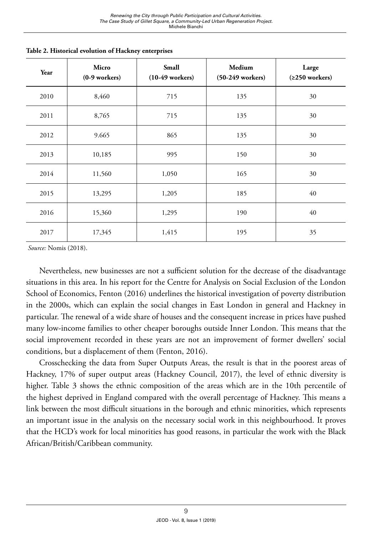| Year | Micro<br>$(0-9$ workers) | Small<br>$(10-49$ workers) | Medium<br>$(50-249$ workers) | Large<br>$(≥250$ workers) |
|------|--------------------------|----------------------------|------------------------------|---------------------------|
| 2010 | 8,460                    | 715                        | 135                          | 30                        |
| 2011 | 8,765                    | 715                        | 135                          | 30                        |
| 2012 | 9.665                    | 865                        | 135                          | 30                        |
| 2013 | 10,185                   | 995                        | 150                          | 30                        |
| 2014 | 11,560                   | 1,050                      | 165                          | 30                        |
| 2015 | 13,295                   | 1,205                      | 185                          | 40                        |
| 2016 | 15,360                   | 1,295                      | 190                          | 40                        |
| 2017 | 17,345                   | 1,415                      | 195                          | 35                        |

**Table 2. Historical evolution of Hackney enterprises**

 *Source:* Nomis (2018).

Nevertheless, new businesses are not a sufficient solution for the decrease of the disadvantage situations in this area. In his report for the Centre for Analysis on Social Exclusion of the London School of Economics, Fenton (2016) underlines the historical investigation of poverty distribution in the 2000s, which can explain the social changes in East London in general and Hackney in particular. The renewal of a wide share of houses and the consequent increase in prices have pushed many low-income families to other cheaper boroughs outside Inner London. This means that the social improvement recorded in these years are not an improvement of former dwellers' social conditions, but a displacement of them (Fenton, 2016).

Crosschecking the data from Super Outputs Areas, the result is that in the poorest areas of Hackney, 17% of super output areas (Hackney Council, 2017), the level of ethnic diversity is higher. Table 3 shows the ethnic composition of the areas which are in the 10th percentile of the highest deprived in England compared with the overall percentage of Hackney. This means a link between the most difficult situations in the borough and ethnic minorities, which represents an important issue in the analysis on the necessary social work in this neighbourhood. It proves that the HCD's work for local minorities has good reasons, in particular the work with the Black African/British/Caribbean community.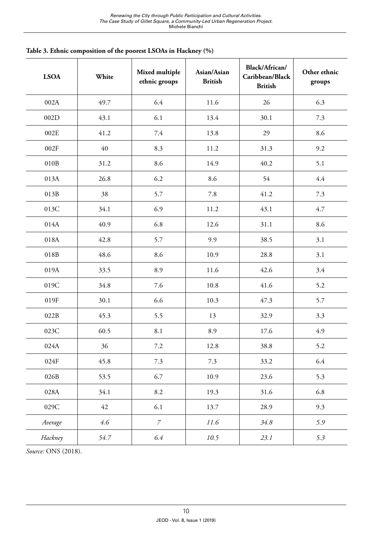| <b>LSOA</b> | White | Mixed multiple<br>ethnic groups | Asian/Asian<br><b>British</b> | Black/African/<br>Caribbean/Black<br><b>British</b> | Other ethnic<br>groups |
|-------------|-------|---------------------------------|-------------------------------|-----------------------------------------------------|------------------------|
| 002A        | 49.7  | 6.4                             | 11.6                          | 26                                                  | 6.3                    |
| 002D        | 43.1  | 6.1                             | 13.4                          | 30.1                                                | $7.3$                  |
| 002E        | 41.2  | 7.4                             | 13.8                          | 29                                                  | 8.6                    |
| 002F        | 40    | 8.3                             | 11.2                          | 31.3                                                | 9.2                    |
| 010B        | 31.2  | 8.6                             | 14.9                          | 40.2                                                | 5.1                    |
| 013A        | 26.8  | 6.2                             | 8.6                           | 54                                                  | 4.4                    |
| 013B        | 38    | 5.7                             | 7.8                           | 41.2                                                | 7.3                    |
| 013C        | 34.1  | 6.9                             | 11.2                          | 43.1                                                | 4.7                    |
| 014A        | 40.9  | 6.8                             | 12.6                          | 31.1                                                | 8.6                    |
| 018A        | 42.8  | 5.7                             | 9.9                           | 38.5                                                | 3.1                    |
| 018B        | 48.6  | 8.6                             | 10.9                          | 28.8                                                | 3.1                    |
| 019A        | 33.5  | 8.9                             | 11.6                          | 42.6                                                | 3.4                    |
| 019C        | 34.8  | 7.6                             | 10.8                          | 41.6                                                | 5.2                    |
| 019F        | 30.1  | 6.6                             | 10.3                          | 47.3                                                | 5.7                    |
| 022B        | 45.3  | 5.5                             | 13                            | 32.9                                                | 3.3                    |
| 023C        | 60.5  | 8.1                             | 8.9                           | 17.6                                                | 4.9                    |
| 024A        | 36    | 7.2                             | 12.8                          | 38.8                                                | 5.2                    |
| 024F        | 45.8  | 7.3                             | 7.3                           | 33.2                                                | 6.4                    |
| 026B        | 53.5  | 6.7                             | 10.9                          | 23.6                                                | 5.3                    |
| 028A        | 34.1  | 8.2                             | 19.3                          | 31.6                                                | 6.8                    |
| 029C        | 42    | 6.1                             | 13.7                          | 28.9                                                | 9.3                    |
| Average     | 4.6   | $\overline{7}$                  | 11.6                          | 34.8                                                | 5.9                    |
| Hackney     | 54.7  | 6.4                             | 10.5                          | 23.1                                                | 5.3                    |

**Table 3. Ethnic composition of the poorest LSOAs in Hackney (%)**

*Source:* ONS (2018).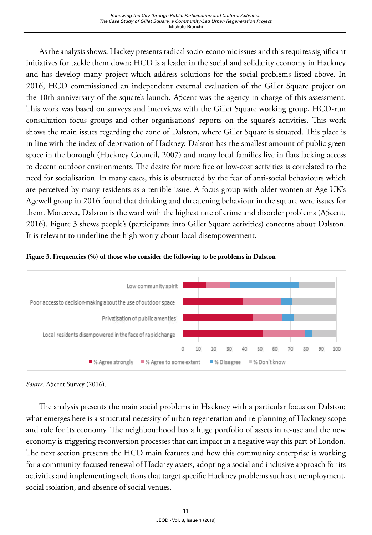As the analysis shows, Hackey presents radical socio-economic issues and this requires significant initiatives for tackle them down; HCD is a leader in the social and solidarity economy in Hackney and has develop many project which address solutions for the social problems listed above. In 2016, HCD commissioned an independent external evaluation of the Gillet Square project on the 10th anniversary of the square's launch. A5cent was the agency in charge of this assessment. This work was based on surveys and interviews with the Gillet Square working group, HCD-run consultation focus groups and other organisations' reports on the square's activities. This work shows the main issues regarding the zone of Dalston, where Gillet Square is situated. This place is in line with the index of deprivation of Hackney. Dalston has the smallest amount of public green space in the borough (Hackney Council, 2007) and many local families live in flats lacking access to decent outdoor environments. The desire for more free or low-cost activities is correlated to the need for socialisation. In many cases, this is obstructed by the fear of anti-social behaviours which are perceived by many residents as a terrible issue. A focus group with older women at Age UK's Agewell group in 2016 found that drinking and threatening behaviour in the square were issues for them. Moreover, Dalston is the ward with the highest rate of crime and disorder problems (A5cent, 2016). Figure 3 shows people's (participants into Gillet Square activities) concerns about Dalston. It is relevant to underline the high worry about local disempowerment.





*Source:* A5cent Survey (2016).

The analysis presents the main social problems in Hackney with a particular focus on Dalston; what emerges here is a structural necessity of urban regeneration and re-planning of Hackney scope and role for its economy. The neighbourhood has a huge portfolio of assets in re-use and the new economy is triggering reconversion processes that can impact in a negative way this part of London. The next section presents the HCD main features and how this community enterprise is working for a community-focused renewal of Hackney assets, adopting a social and inclusive approach for its activities and implementing solutions that target specific Hackney problems such as unemployment, social isolation, and absence of social venues.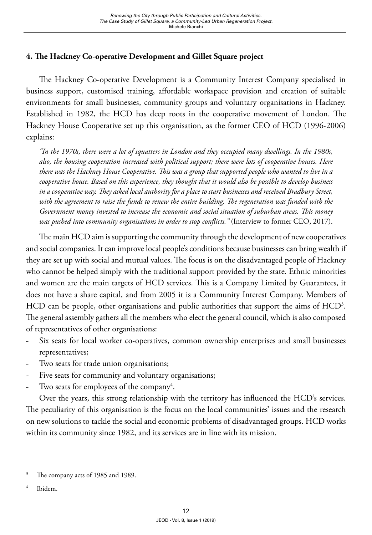## **4. The Hackney Co-operative Development and Gillet Square project**

The Hackney Co-operative Development is a Community Interest Company specialised in business support, customised training, affordable workspace provision and creation of suitable environments for small businesses, community groups and voluntary organisations in Hackney. Established in 1982, the HCD has deep roots in the cooperative movement of London. The Hackney House Cooperative set up this organisation, as the former CEO of HCD (1996-2006) explains:

*"In the 1970s, there were a lot of squatters in London and they occupied many dwellings. In the 1980s, also, the housing cooperation increased with political support; there were lots of cooperative houses. Here there was the Hackney House Cooperative. This was a group that supported people who wanted to live in a cooperative house. Based on this experience, they thought that it would also be possible to develop business in a cooperative way. They asked local authority for a place to start businesses and received Bradbury Street, with the agreement to raise the funds to renew the entire building. The regeneration was funded with the Government money invested to increase the economic and social situation of suburban areas. This money was pushed into community organisations in order to stop conflicts."* (Interview to former CEO, 2017).

The main HCD aim is supporting the community through the development of new cooperatives and social companies. It can improve local people's conditions because businesses can bring wealth if they are set up with social and mutual values. The focus is on the disadvantaged people of Hackney who cannot be helped simply with the traditional support provided by the state. Ethnic minorities and women are the main targets of HCD services. This is a Company Limited by Guarantees, it does not have a share capital, and from 2005 it is a Community Interest Company. Members of  $HCD$  can be people, other organisations and public authorities that support the aims of  $HCD<sup>3</sup>$ . The general assembly gathers all the members who elect the general council, which is also composed of representatives of other organisations:

- Six seats for local worker co-operatives, common ownership enterprises and small businesses representatives;
- Two seats for trade union organisations;
- Five seats for community and voluntary organisations;
- Two seats for employees of the company<sup>4</sup>.

Over the years, this strong relationship with the territory has influenced the HCD's services. The peculiarity of this organisation is the focus on the local communities' issues and the research on new solutions to tackle the social and economic problems of disadvantaged groups. HCD works within its community since 1982, and its services are in line with its mission.

Ibidem.

The company acts of 1985 and 1989.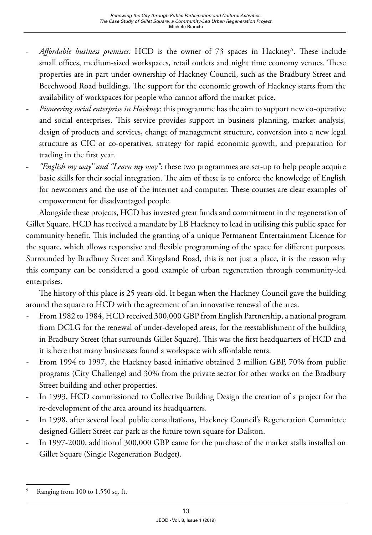- *Affordable business premises:* HCD is the owner of 73 spaces in Hackney<sup>5</sup>. These include small offices, medium-sized workspaces, retail outlets and night time economy venues. These properties are in part under ownership of Hackney Council, such as the Bradbury Street and Beechwood Road buildings. The support for the economic growth of Hackney starts from the availability of workspaces for people who cannot afford the market price.
- *Pioneering social enterprise in Hackney*: this programme has the aim to support new co-operative and social enterprises. This service provides support in business planning, market analysis, design of products and services, change of management structure, conversion into a new legal structure as CIC or co-operatives, strategy for rapid economic growth, and preparation for trading in the first year.
- *"English my way" and "Learn my way"*: these two programmes are set-up to help people acquire basic skills for their social integration. The aim of these is to enforce the knowledge of English for newcomers and the use of the internet and computer. These courses are clear examples of empowerment for disadvantaged people.

Alongside these projects, HCD has invested great funds and commitment in the regeneration of Gillet Square. HCD has received a mandate by LB Hackney to lead in utilising this public space for community benefit. This included the granting of a unique Permanent Entertainment Licence for the square, which allows responsive and flexible programming of the space for different purposes. Surrounded by Bradbury Street and Kingsland Road, this is not just a place, it is the reason why this company can be considered a good example of urban regeneration through community-led enterprises.

The history of this place is 25 years old. It began when the Hackney Council gave the building around the square to HCD with the agreement of an innovative renewal of the area.

- From 1982 to 1984, HCD received 300,000 GBP from English Partnership, a national program from DCLG for the renewal of under-developed areas, for the reestablishment of the building in Bradbury Street (that surrounds Gillet Square). This was the first headquarters of HCD and it is here that many businesses found a workspace with affordable rents.
- From 1994 to 1997, the Hackney based initiative obtained 2 million GBP, 70% from public programs (City Challenge) and 30% from the private sector for other works on the Bradbury Street building and other properties.
- In 1993, HCD commissioned to Collective Building Design the creation of a project for the re-development of the area around its headquarters.
- In 1998, after several local public consultations, Hackney Council's Regeneration Committee designed Gillett Street car park as the future town square for Dalston.
- In 1997-2000, additional 300,000 GBP came for the purchase of the market stalls installed on Gillet Square (Single Regeneration Budget).

<sup>5</sup> Ranging from 100 to 1,550 sq. ft.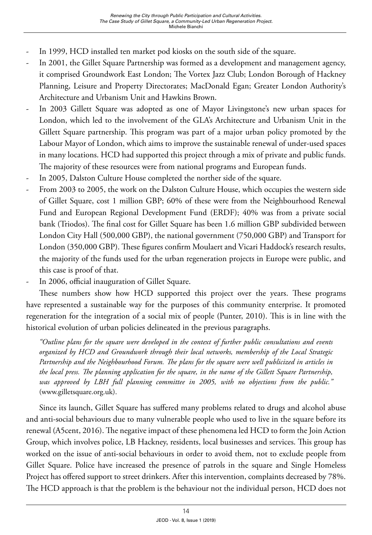- In 1999, HCD installed ten market pod kiosks on the south side of the square.
- In 2001, the Gillet Square Partnership was formed as a development and management agency, it comprised Groundwork East London; The Vortex Jazz Club; London Borough of Hackney Planning, Leisure and Property Directorates; MacDonald Egan; Greater London Authority's Architecture and Urbanism Unit and Hawkins Brown.
- In 2003 Gillett Square was adopted as one of Mayor Livingstone's new urban spaces for London, which led to the involvement of the GLA's Architecture and Urbanism Unit in the Gillett Square partnership. This program was part of a major urban policy promoted by the Labour Mayor of London, which aims to improve the sustainable renewal of under-used spaces in many locations. HCD had supported this project through a mix of private and public funds. The majority of these resources were from national programs and European funds.
- In 2005, Dalston Culture House completed the norther side of the square.
- From 2003 to 2005, the work on the Dalston Culture House, which occupies the western side of Gillet Square, cost 1 million GBP; 60% of these were from the Neighbourhood Renewal Fund and European Regional Development Fund (ERDF); 40% was from a private social bank (Triodos). The final cost for Gillet Square has been 1.6 million GBP subdivided between London City Hall (500,000 GBP), the national government (750,000 GBP) and Transport for London (350,000 GBP). These figures confirm Moulaert and Vicari Haddock's research results, the majority of the funds used for the urban regeneration projects in Europe were public, and this case is proof of that.
- In 2006, official inauguration of Gillet Square.

These numbers show how HCD supported this project over the years. These programs have represented a sustainable way for the purposes of this community enterprise. It promoted regeneration for the integration of a social mix of people (Punter, 2010). This is in line with the historical evolution of urban policies delineated in the previous paragraphs.

*"Outline plans for the square were developed in the context of further public consultations and events organized by HCD and Groundwork through their local networks, membership of the Local Strategic Partnership and the Neighbourhood Forum. The plans for the square were well publicized in articles in the local press. The planning application for the square, in the name of the Gillett Square Partnership, was approved by LBH full planning committee in 2005, with no objections from the public."*  [\(www.gilletsquare.org.uk\)](http://www.gilletsquare.org.uk).

Since its launch, Gillet Square has suffered many problems related to drugs and alcohol abuse and anti-social behaviours due to many vulnerable people who used to live in the square before its renewal (A5cent, 2016). The negative impact of these phenomena led HCD to form the Join Action Group, which involves police, LB Hackney, residents, local businesses and services. This group has worked on the issue of anti-social behaviours in order to avoid them, not to exclude people from Gillet Square. Police have increased the presence of patrols in the square and Single Homeless Project has offered support to street drinkers. After this intervention, complaints decreased by 78%. The HCD approach is that the problem is the behaviour not the individual person, HCD does not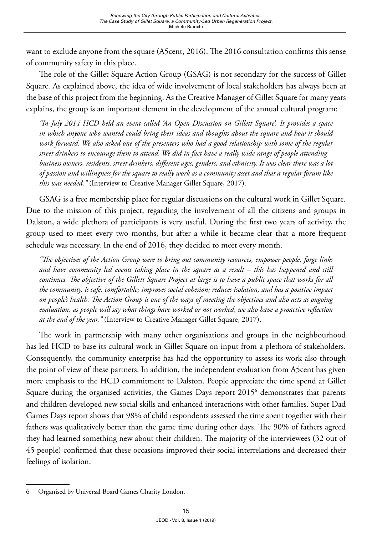want to exclude anyone from the square (A5cent, 2016). The 2016 consultation confirms this sense of community safety in this place.

The role of the Gillet Square Action Group (GSAG) is not secondary for the success of Gillet Square. As explained above, the idea of wide involvement of local stakeholders has always been at the base of this project from the beginning. As the Creative Manager of Gillet Square for many years explains, the group is an important element in the development of the annual cultural program:

*"In July 2014 HCD held an event called 'An Open Discussion on Gillett Square'. It provides a space in which anyone who wanted could bring their ideas and thoughts about the square and how it should work forward. We also asked one of the presenters who had a good relationship with some of the regular street drinkers to encourage them to attend. We did in fact have a really wide range of people attending – business owners, residents, street drinkers, different ages, genders, and ethnicity. It was clear there was a lot of passion and willingness for the square to really work as a community asset and that a regular forum like this was needed."* (Interview to Creative Manager Gillet Square, 2017).

GSAG is a free membership place for regular discussions on the cultural work in Gillet Square. Due to the mission of this project, regarding the involvement of all the citizens and groups in Dalston, a wide plethora of participants is very useful. During the first two years of activity, the group used to meet every two months, but after a while it became clear that a more frequent schedule was necessary. In the end of 2016, they decided to meet every month.

*"The objectives of the Action Group were to bring out community resources, empower people, forge links and have community led events taking place in the square as a result – this has happened and still continues. The objective of the Gillett Square Project at large is to have a public space that works for all the community, is safe, comfortable; improves social cohesion; reduces isolation, and has a positive impact on people's health. The Action Group is one of the ways of meeting the objectives and also acts as ongoing evaluation, as people will say what things have worked or not worked, we also have a proactive reflection at the end of the year."* (Interview to Creative Manager Gillet Square, 2017).

The work in partnership with many other organisations and groups in the neighbourhood has led HCD to base its cultural work in Gillet Square on input from a plethora of stakeholders. Consequently, the community enterprise has had the opportunity to assess its work also through the point of view of these partners. In addition, the independent evaluation from A5cent has given more emphasis to the HCD commitment to Dalston. People appreciate the time spend at Gillet Square during the organised activities, the Games Days report 2015<sup>6</sup> demonstrates that parents and children developed new social skills and enhanced interactions with other families. Super Dad Games Days report shows that 98% of child respondents assessed the time spent together with their fathers was qualitatively better than the game time during other days. The 90% of fathers agreed they had learned something new about their children. The majority of the interviewees (32 out of 45 people) confirmed that these occasions improved their social interrelations and decreased their feelings of isolation.

<sup>6</sup> Organised by Universal Board Games Charity London.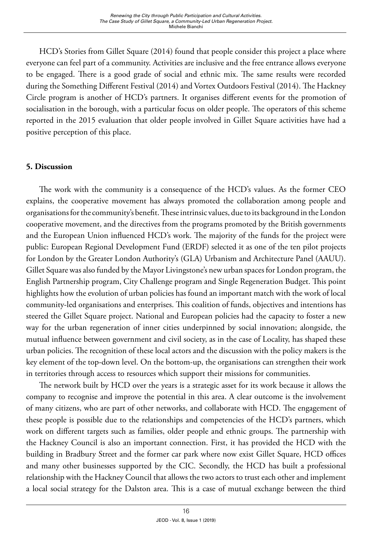HCD's Stories from Gillet Square (2014) found that people consider this project a place where everyone can feel part of a community. Activities are inclusive and the free entrance allows everyone to be engaged. There is a good grade of social and ethnic mix. The same results were recorded during the Something Different Festival (2014) and Vortex Outdoors Festival (2014). The Hackney Circle program is another of HCD's partners. It organises different events for the promotion of socialisation in the borough, with a particular focus on older people. The operators of this scheme reported in the 2015 evaluation that older people involved in Gillet Square activities have had a positive perception of this place.

# **5. Discussion**

The work with the community is a consequence of the HCD's values. As the former CEO explains, the cooperative movement has always promoted the collaboration among people and organisations for the community's benefit. These intrinsic values, due to its background in the London cooperative movement, and the directives from the programs promoted by the British governments and the European Union influenced HCD's work. The majority of the funds for the project were public: European Regional Development Fund (ERDF) selected it as one of the ten pilot projects for London by the Greater London Authority's (GLA) Urbanism and Architecture Panel (AAUU). Gillet Square was also funded by the Mayor Livingstone's new urban spaces for London program, the English Partnership program, City Challenge program and Single Regeneration Budget. This point highlights how the evolution of urban policies has found an important match with the work of local community-led organisations and enterprises. This coalition of funds, objectives and intentions has steered the Gillet Square project. National and European policies had the capacity to foster a new way for the urban regeneration of inner cities underpinned by social innovation; alongside, the mutual influence between government and civil society, as in the case of Locality, has shaped these urban policies. The recognition of these local actors and the discussion with the policy makers is the key element of the top-down level. On the bottom-up, the organisations can strengthen their work in territories through access to resources which support their missions for communities.

The network built by HCD over the years is a strategic asset for its work because it allows the company to recognise and improve the potential in this area. A clear outcome is the involvement of many citizens, who are part of other networks, and collaborate with HCD. The engagement of these people is possible due to the relationships and competencies of the HCD's partners, which work on different targets such as families, older people and ethnic groups. The partnership with the Hackney Council is also an important connection. First, it has provided the HCD with the building in Bradbury Street and the former car park where now exist Gillet Square, HCD offices and many other businesses supported by the CIC. Secondly, the HCD has built a professional relationship with the Hackney Council that allows the two actors to trust each other and implement a local social strategy for the Dalston area. This is a case of mutual exchange between the third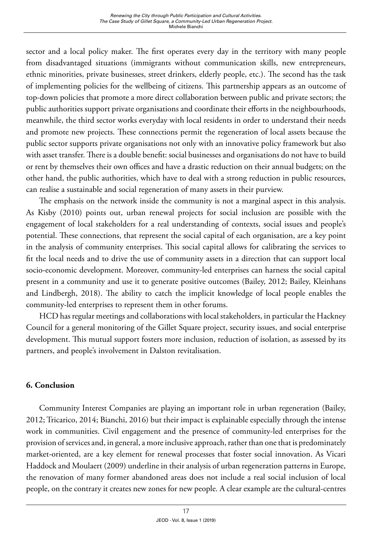sector and a local policy maker. The first operates every day in the territory with many people from disadvantaged situations (immigrants without communication skills, new entrepreneurs, ethnic minorities, private businesses, street drinkers, elderly people, etc.). The second has the task of implementing policies for the wellbeing of citizens. This partnership appears as an outcome of top-down policies that promote a more direct collaboration between public and private sectors; the public authorities support private organisations and coordinate their efforts in the neighbourhoods, meanwhile, the third sector works everyday with local residents in order to understand their needs and promote new projects. These connections permit the regeneration of local assets because the public sector supports private organisations not only with an innovative policy framework but also with asset transfer. There is a double benefit: social businesses and organisations do not have to build or rent by themselves their own offices and have a drastic reduction on their annual budgets; on the other hand, the public authorities, which have to deal with a strong reduction in public resources, can realise a sustainable and social regeneration of many assets in their purview.

The emphasis on the network inside the community is not a marginal aspect in this analysis. As Kisby (2010) points out, urban renewal projects for social inclusion are possible with the engagement of local stakeholders for a real understanding of contexts, social issues and people's potential. These connections, that represent the social capital of each organisation, are a key point in the analysis of community enterprises. This social capital allows for calibrating the services to fit the local needs and to drive the use of community assets in a direction that can support local socio-economic development. Moreover, community-led enterprises can harness the social capital present in a community and use it to generate positive outcomes (Bailey, 2012; Bailey, Kleinhans and Lindbergh, 2018). The ability to catch the implicit knowledge of local people enables the community-led enterprises to represent them in other forums.

HCD has regular meetings and collaborations with local stakeholders, in particular the Hackney Council for a general monitoring of the Gillet Square project, security issues, and social enterprise development. This mutual support fosters more inclusion, reduction of isolation, as assessed by its partners, and people's involvement in Dalston revitalisation.

# **6. Conclusion**

Community Interest Companies are playing an important role in urban regeneration (Bailey, 2012; Tricarico, 2014; Bianchi, 2016) but their impact is explainable especially through the intense work in communities. Civil engagement and the presence of community-led enterprises for the provision of services and, in general, a more inclusive approach, rather than one that is predominately market-oriented, are a key element for renewal processes that foster social innovation. As Vicari Haddock and Moulaert (2009) underline in their analysis of urban regeneration patterns in Europe, the renovation of many former abandoned areas does not include a real social inclusion of local people, on the contrary it creates new zones for new people. A clear example are the cultural-centres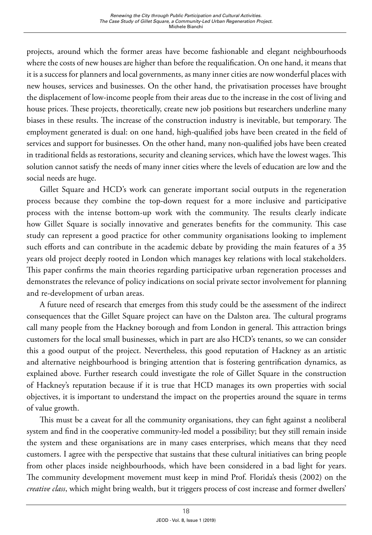projects, around which the former areas have become fashionable and elegant neighbourhoods where the costs of new houses are higher than before the requalification. On one hand, it means that it is a success for planners and local governments, as many inner cities are now wonderful places with new houses, services and businesses. On the other hand, the privatisation processes have brought the displacement of low-income people from their areas due to the increase in the cost of living and house prices. These projects, theoretically, create new job positions but researchers underline many biases in these results. The increase of the construction industry is inevitable, but temporary. The employment generated is dual: on one hand, high-qualified jobs have been created in the field of services and support for businesses. On the other hand, many non-qualified jobs have been created in traditional fields as restorations, security and cleaning services, which have the lowest wages. This solution cannot satisfy the needs of many inner cities where the levels of education are low and the social needs are huge.

Gillet Square and HCD's work can generate important social outputs in the regeneration process because they combine the top-down request for a more inclusive and participative process with the intense bottom-up work with the community. The results clearly indicate how Gillet Square is socially innovative and generates benefits for the community. This case study can represent a good practice for other community organisations looking to implement such efforts and can contribute in the academic debate by providing the main features of a 35 years old project deeply rooted in London which manages key relations with local stakeholders. This paper confirms the main theories regarding participative urban regeneration processes and demonstrates the relevance of policy indications on social private sector involvement for planning and re-development of urban areas.

A future need of research that emerges from this study could be the assessment of the indirect consequences that the Gillet Square project can have on the Dalston area. The cultural programs call many people from the Hackney borough and from London in general. This attraction brings customers for the local small businesses, which in part are also HCD's tenants, so we can consider this a good output of the project. Nevertheless, this good reputation of Hackney as an artistic and alternative neighbourhood is bringing attention that is fostering gentrification dynamics, as explained above. Further research could investigate the role of Gillet Square in the construction of Hackney's reputation because if it is true that HCD manages its own properties with social objectives, it is important to understand the impact on the properties around the square in terms of value growth.

This must be a caveat for all the community organisations, they can fight against a neoliberal system and find in the cooperative community-led model a possibility; but they still remain inside the system and these organisations are in many cases enterprises, which means that they need customers. I agree with the perspective that sustains that these cultural initiatives can bring people from other places inside neighbourhoods, which have been considered in a bad light for years. The community development movement must keep in mind Prof. Florida's thesis (2002) on the *creative class*, which might bring wealth, but it triggers process of cost increase and former dwellers'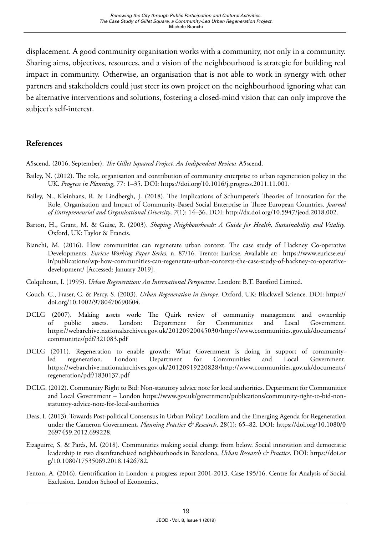displacement. A good community organisation works with a community, not only in a community. Sharing aims, objectives, resources, and a vision of the neighbourhood is strategic for building real impact in community. Otherwise, an organisation that is not able to work in synergy with other partners and stakeholders could just steer its own project on the neighbourhood ignoring what can be alternative interventions and solutions, fostering a closed-mind vision that can only improve the subject's self-interest.

#### **References**

A5scend. (2016, September). *The Gillet Squared Project. An Indipendent Review.* A5scend.

- Bailey, N. (2012). The role, organisation and contribution of community enterprise to urban regeneration policy in the UK. *Progress in Planning*, 77: 1–35. DOI: <https://doi.org/10.1016/j.progress.2011.11.001>.
- Bailey, N., Kleinhans, R. & Lindbergh, J. (2018). The Implications of Schumpeter's Theories of Innovation for the Role, Organisation and Impact of Community-Based Social Enterprise in Three European Countries. *Journal of Entrepreneurial and Organisational Diversity*, *7*(1): 14–36. DOI: [http://dx.doi.org/10.5947/jeod.2018.002.](http://dx.doi.org/10.5947/jeod.2018.002)
- Barton, H., Grant, M. & Guise, R. (2003). *Shaping Neighbourhoods: A Guide for Health, Sustainability and Vitality*. Oxford, UK: Taylor & Francis.
- Bianchi, M. (2016). How communities can regenerate urban context. The case study of Hackney Co-operative Developments. *Euricse Working Paper Series,* n. 87/16*.* Trento: Euricse*.* Available at: [https://www.euricse.eu/](https://www.euricse.eu/it/publications/wp-how-communities-can-regenerate-urban-contexts-the-case-study-of-hackney-co-operative-development/) [it/publications/wp-how-communities-can-regenerate-urban-contexts-the-case-study-of-hackney-co-operative](https://www.euricse.eu/it/publications/wp-how-communities-can-regenerate-urban-contexts-the-case-study-of-hackney-co-operative-development/)[development/](https://www.euricse.eu/it/publications/wp-how-communities-can-regenerate-urban-contexts-the-case-study-of-hackney-co-operative-development/) [Accessed: January 2019].
- Colquhoun, I. (1995). *Urban Regeneration: An International Perspective*. London: B.T. Batsford Limited.
- Couch, C., Fraser, C. & Percy, S. (2003). *Urban Regeneration in Europe*. Oxford, UK: Blackwell Science. DOI: [https://](https://doi.org/10.1002/9780470690604) [doi.org/10.1002/9780470690604.](https://doi.org/10.1002/9780470690604)
- DCLG (2007). Making assets work: The Quirk review of community management and ownership of public assets. London: Department for Communities and Local Government. [https://webarchive.nationalarchives.gov.uk/20120920045030/http://www.communities.gov.uk/documents/](https://webarchive.nationalarchives.gov.uk/20120920045030/http://www.communities.gov.uk/documents/communities/pdf/321083.pdf) [communities/pdf/321083.pdf](https://webarchive.nationalarchives.gov.uk/20120920045030/http://www.communities.gov.uk/documents/communities/pdf/321083.pdf)
- DCLG (2011). Regeneration to enable growth: What Government is doing in support of communityled regeneration. London: Department for Communities and Local Government. [https://webarchive.nationalarchives.gov.uk/20120919220828/http://www.communities.gov.uk/documents/](https://webarchive.nationalarchives.gov.uk/20120919220828/http://www.communities.gov.uk/documents/regeneration/pdf/1830137.pdf) [regeneration/pdf/1830137.pdf](https://webarchive.nationalarchives.gov.uk/20120919220828/http://www.communities.gov.uk/documents/regeneration/pdf/1830137.pdf)
- DCLG. (2012). Community Right to Bid: Non-statutory advice note for local authorities. Department for Communities and Local Government – London [https://www.gov.uk/government/publications/community-right-to-bid-non](https://www.gov.uk/government/publications/community-right-to-bid-non-statutory-advice-note-for-loca)[statutory-advice-note-for-local-authorities](https://www.gov.uk/government/publications/community-right-to-bid-non-statutory-advice-note-for-loca)
- Deas, I. (2013). Towards Post-political Consensus in Urban Policy? Localism and the Emerging Agenda for Regeneration under the Cameron Government, *Planning Practice & Research*, 28(1): 65–82. DOI: [https://doi.org/10.1080/0](https://doi.org/10.1080/02697459.2012.699228) [2697459.2012.699228](https://doi.org/10.1080/02697459.2012.699228).
- Eizaguirre, S. & Parés, M. (2018). Communities making social change from below. Social innovation and democratic leadership in two disenfranchised neighbourhoods in Barcelona, *Urban Research & Practice*. DOI: [https://doi.or](https://doi.org/10.1080/17535069.2018.1426782) [g/10.1080/17535069.2018.1426782.](https://doi.org/10.1080/17535069.2018.1426782)
- Fenton, A. (2016). Gentrification in London: a progress report 2001-2013. Case 195/16. Centre for Analysis of Social Exclusion. London School of Economics.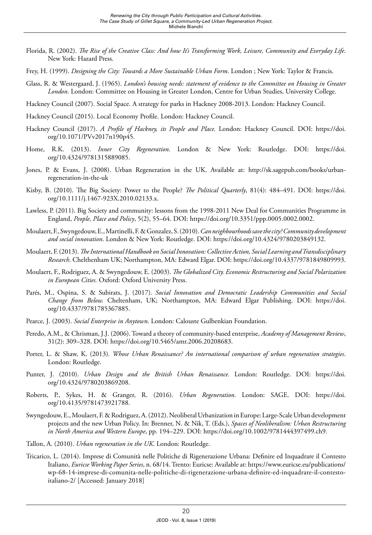- Florida, R. (2002). *The Rise of the Creative Class: And how It's Transforming Work, Leisure, Community and Everyday Life*. New York: Hazard Press.
- Frey, H. (1999). *Designing the City: Towards a More Sustainable Urban Form*. London ; New York: Taylor & Francis.
- Glass, R. & Westergaard, J. (1965). *London's housing needs: statement of evidence to the Committee on Housing in Greater London*. London: Committee on Housing in Greater London, Centre for Urban Studies, University College.
- Hackney Council (2007). Social Space. A strategy for parks in Hackney 2008-2013. London: Hackney Council.
- Hackney Council (2015). Local Economy Profile. London: Hackney Council.
- Hackney Council (2017). *A Profile of Hackney, its People and Place.* London: Hackney Council. DOI: [https://doi.](https://doi.org/10.1071/PVv2017n190p45) [org/10.1071/PVv2017n190p45.](https://doi.org/10.1071/PVv2017n190p45)
- Home, R.K. (2013). *Inner City Regeneration*. London & New York: Routledge. DOI: [https://doi.](https://doi.org/10.1071/PVv2017n190p45) [org/10.4324/9781315889085](https://doi.org/10.1071/PVv2017n190p45).
- Jones, P. & Evans, J. (2008). Urban Regeneration in the UK. Available at: [http://sk.sagepub.com/books/urban](http://sk.sagepub.com/books/urban-regeneration-in-the-uk)[regeneration-in-the-uk](http://sk.sagepub.com/books/urban-regeneration-in-the-uk)
- Kisby, B. (2010). The Big Society: Power to the People? *The Political Quarterly*, 81(4): 484–491. DOI: [https://doi.](https://doi.org/10.1111/j.1467-923X.2010.02133.x) [org/10.1111/j.1467-923X.2010.02133.x.](https://doi.org/10.1111/j.1467-923X.2010.02133.x)
- Lawless, P. (2011). Big Society and community: lessons from the 1998-2011 New Deal for Communities Programme in England, *People, Place and Policy*, 5(2), 55–64. DOI: [https://doi.org/10.3351/ppp.0005.0002.0002.](https://doi.org/10.3351/ppp.0005.0002.0002)
- Moulaert, F., Swyngedouw, E., Martinelli, F. & Gonzalez, S. (2010). *Can neighbourhoods save the city? Community development and social innovation*. London & New York: Routledge. DOI:<https://doi.org/10.4324/9780203849132>.
- Moulaert, F. (2013). *The International Handbook on Social Innovation: Collective Action, Social Learning and Transdisciplinary Research*. Chelthenham UK; Northampton, MA: Edward Elgar. DOI:<https://doi.org/10.4337/9781849809993>.
- Moulaert, F., Rodriguez, A. & Swyngedouw, E. (2003). *The Globalized City. Economic Restructuring and Social Polarization in European Cities.* Oxford: Oxford University Press.
- Parés, M., Ospina, S. & Subirats, J. (2017). *Social Innovation and Democratic Leadership Communities and Social Change from Below.* Cheltenham, UK; Northampton, MA: Edward Elgar Publishing. DOI: [https://doi.](https://doi.org/10.4337/9781785367885) [org/10.4337/9781785367885](https://doi.org/10.4337/9781785367885).
- Pearce, J. (2003). *Social Enterprise in Anytown*. London: Calouste Gulbenkian Foundation.
- Peredo, A.M., & Chrisman, J.J. (2006). Toward a theory of community-based enterprise, *Academy of Management Review*, 31(2): 309–328. DOI: <https://doi.org/10.5465/amr.2006.20208683>.
- Porter, L. & Shaw, K. (2013). *Whose Urban Renaissance? An international comparison of urban regeneration strategies*. London: Routledge.
- Punter, J. (2010). *Urban Design and the British Urban Renaissance.* London: Routledge. DOI: [https://doi.](https://doi.org/10.4324/9780203869208) [org/10.4324/9780203869208](https://doi.org/10.4324/9780203869208).
- Roberts, P., Sykes, H. & Granger, R. (2016). *Urban Regeneration*. London: SAGE. DOI: [https://doi.](https://doi.org/10.4135/9781473921788) [org/10.4135/9781473921788](https://doi.org/10.4135/9781473921788).
- Swyngedouw, E., Moulaert, F. & Rodriguez, A. (2012). Neoliberal Urbanization in Europe: Large-Scale Urban development projects and the new Urban Policy. In: Brenner, N. & Nik, T. (Eds.), *Spaces of Neoliberalism: Urban Restructuring in North America and Western Europe*, pp. 194–229. DOI:<https://doi.org/10.1002/9781444397499.ch9>.
- Tallon, A. (2010). *Urban regeneration in the UK*. London: Routledge.
- Tricarico, L. (2014). Imprese di Comunità nelle Politiche di Rigenerazione Urbana: Definire ed Inquadrare il Contesto Italiano, *Euricse Working Paper Series*, n. 68/14. Trento: Euricse: Available at: [https://www.euricse.eu/publications/](https://www.euricse.eu/publications/wp-68-14-imprese-di-comunita-nelle-politiche-di-rigenerazione-ur) [wp-68-14-imprese-di-comunita-nelle-politiche-di-rigenerazione-urbana-definire-ed-inquadrare-il-contesto](https://www.euricse.eu/publications/wp-68-14-imprese-di-comunita-nelle-politiche-di-rigenerazione-ur)[italiano-2/](https://www.euricse.eu/publications/wp-68-14-imprese-di-comunita-nelle-politiche-di-rigenerazione-ur) [Accessed: January 2018]